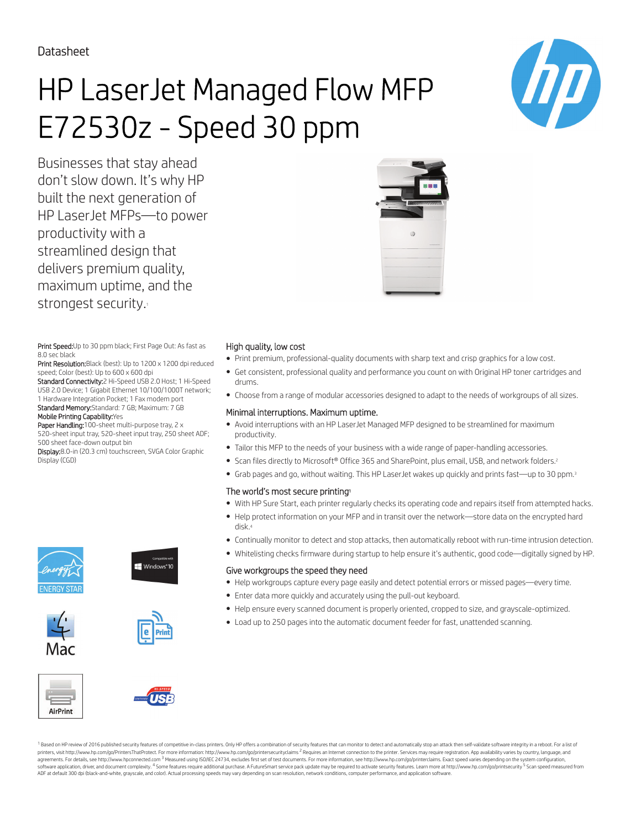Datasheet

# HP LaserJet Managed Flow MFP E72530z - Speed 30 ppm

Businesses that stay ahead don't slow down. It's why HP built the next generation of HP LaserJet MFPs—to power productivity with a streamlined design that delivers premium quality, maximum uptime, and the strongest security.

Print Speed: Up to 30 ppm black; First Page Out: As fast as 8.0 sec black

Print Resolution: Black (best): Up to 1200 x 1200 dpi reduced speed; Color (best): Up to 600 x 600 dpi

Standard Connectivity:2 Hi-Speed USB 2.0 Host; 1 Hi-Speed USB 2.0 Device; 1 Gigabit Ethernet 10/100/1000T network; 1 Hardware Integration Pocket; 1 Fax modem port Standard Memory:Standard: 7 GB; Maximum: 7 GB Mobile Printing Capability:Yes

Paper Handling:100-sheet multi-purpose tray, 2 x 520-sheet input tray, 520-sheet input tray, 250 sheet ADF; 500 sheet face-down output bin

Display:8.0-in (20.3 cm) touchscreen, SVGA Color Graphic Display (CGD)













- Print premium, professional-quality documents with sharp text and crisp graphics for a low cost.
- Get consistent, professional quality and performance you count on with Original HP toner cartridges and drums.
- Choose from a range of modular accessories designed to adapt to the needs of workgroups of all sizes.

### Minimal interruptions. Maximum uptime.

- Avoid interruptions with an HP LaserJet Managed MFP designed to be streamlined for maximum productivity.
- Tailor this MFP to the needs of your business with a wide range of paper-handling accessories.
- Scan files directly to Microsoft® Office 365 and SharePoint, plus email, USB, and network folders.<sup>2</sup>
- Grab pages and go, without waiting. This HP LaserJet wakes up quickly and prints fast—up to 30 ppm.<sup>3</sup>

#### The world's most secure printing<sup>1</sup>

- With HP Sure Start, each printer regularly checks its operating code and repairs itself from attempted hacks.
- Help protect information on your MFP and in transit over the network—store data on the encrypted hard disk.<sup>4</sup>
- Continually monitor to detect and stop attacks, then automatically reboot with run-time intrusion detection.
- Whitelisting checks firmware during startup to help ensure it's authentic, good code—digitally signed by HP.

#### Give workgroups the speed they need

- Help workgroups capture every page easily and detect potential errors or missed pages—every time.
- Enter data more quickly and accurately using the pull-out keyboard.
- Help ensure every scanned document is properly oriented, cropped to size, and grayscale-optimized.
- Load up to 250 pages into the automatic document feeder for fast, unattended scanning.





<sup>1</sup> Based on HP review of 2016 published security features of competitive in-class printers. Only HP offers a combination of security features that can monitor to detect and automatically stop an attack then self-validate printers, visit http://www.hp.com/go/PrintersThatProtect. For more information: http://www.hp.com/go/printersecurityclaims <sup>2</sup> Requires an Internet connection to the printer. Services may require registration. App availabi parameter and the comparameter and the main term of the comparameter and the comparameter and the comparameter and the comparameter and the comparameter and the comparameter and the comparameter and the comparameter and th software application, driver, and document complexity. <sup>4</sup> Some features require additional purchase. A FutureSmart service pack update may be required to activate security features. Learn more at http://www.hp.com/go/prin